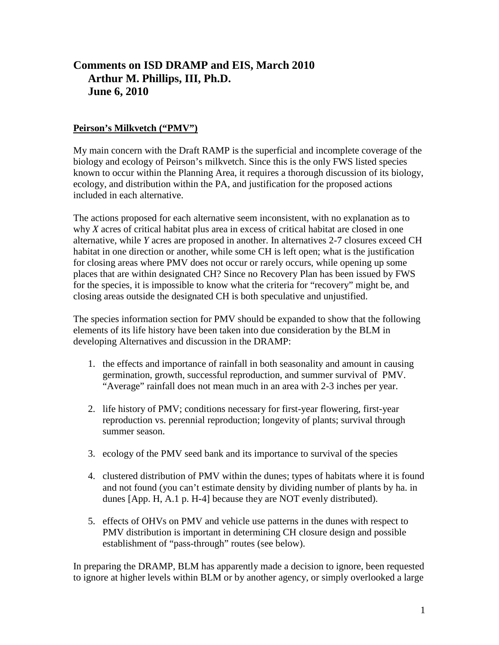# **Comments on ISD DRAMP and EIS, March 2010 Arthur M. Phillips, III, Ph.D. June 6, 2010**

# **Peirson's Milkvetch ("PMV")**

My main concern with the Draft RAMP is the superficial and incomplete coverage of the biology and ecology of Peirson's milkvetch. Since this is the only FWS listed species known to occur within the Planning Area, it requires a thorough discussion of its biology, ecology, and distribution within the PA, and justification for the proposed actions included in each alternative.

The actions proposed for each alternative seem inconsistent, with no explanation as to why *X* acres of critical habitat plus area in excess of critical habitat are closed in one alternative, while *Y* acres are proposed in another. In alternatives 2-7 closures exceed CH habitat in one direction or another, while some CH is left open; what is the justification for closing areas where PMV does not occur or rarely occurs, while opening up some places that are within designated CH? Since no Recovery Plan has been issued by FWS for the species, it is impossible to know what the criteria for "recovery" might be, and closing areas outside the designated CH is both speculative and unjustified.

The species information section for PMV should be expanded to show that the following elements of its life history have been taken into due consideration by the BLM in developing Alternatives and discussion in the DRAMP:

- 1. the effects and importance of rainfall in both seasonality and amount in causing germination, growth, successful reproduction, and summer survival of PMV. "Average" rainfall does not mean much in an area with 2-3 inches per year.
- 2. life history of PMV; conditions necessary for first-year flowering, first-year reproduction vs. perennial reproduction; longevity of plants; survival through summer season.
- 3. ecology of the PMV seed bank and its importance to survival of the species
- 4. clustered distribution of PMV within the dunes; types of habitats where it is found and not found (you can't estimate density by dividing number of plants by ha. in dunes [App. H, A.1 p. H-4] because they are NOT evenly distributed).
- 5. effects of OHVs on PMV and vehicle use patterns in the dunes with respect to PMV distribution is important in determining CH closure design and possible establishment of "pass-through" routes (see below).

In preparing the DRAMP, BLM has apparently made a decision to ignore, been requested to ignore at higher levels within BLM or by another agency, or simply overlooked a large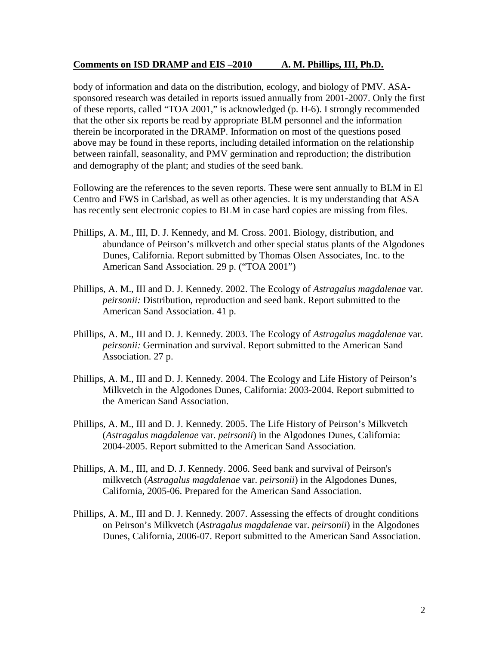body of information and data on the distribution, ecology, and biology of PMV. ASAsponsored research was detailed in reports issued annually from 2001-2007. Only the first of these reports, called "TOA 2001," is acknowledged (p. H-6). I strongly recommended that the other six reports be read by appropriate BLM personnel and the information therein be incorporated in the DRAMP. Information on most of the questions posed above may be found in these reports, including detailed information on the relationship between rainfall, seasonality, and PMV germination and reproduction; the distribution and demography of the plant; and studies of the seed bank.

Following are the references to the seven reports. These were sent annually to BLM in El Centro and FWS in Carlsbad, as well as other agencies. It is my understanding that ASA has recently sent electronic copies to BLM in case hard copies are missing from files.

- Phillips, A. M., III, D. J. Kennedy, and M. Cross. 2001. Biology, distribution, and abundance of Peirson's milkvetch and other special status plants of the Algodones Dunes, California. Report submitted by Thomas Olsen Associates, Inc. to the American Sand Association. 29 p. ("TOA 2001")
- Phillips, A. M., III and D. J. Kennedy. 2002. The Ecology of *Astragalus magdalenae* var. *peirsonii:* Distribution, reproduction and seed bank. Report submitted to the American Sand Association. 41 p.
- Phillips, A. M., III and D. J. Kennedy. 2003. The Ecology of *Astragalus magdalenae* var. *peirsonii:* Germination and survival. Report submitted to the American Sand Association. 27 p.
- Phillips, A. M., III and D. J. Kennedy. 2004. The Ecology and Life History of Peirson's Milkvetch in the Algodones Dunes, California: 2003-2004. Report submitted to the American Sand Association.
- Phillips, A. M., III and D. J. Kennedy. 2005. The Life History of Peirson's Milkvetch (*Astragalus magdalenae* var. *peirsonii*) in the Algodones Dunes, California: 2004-2005. Report submitted to the American Sand Association.
- Phillips, A. M., III, and D. J. Kennedy. 2006. Seed bank and survival of Peirson's milkvetch (*Astragalus magdalenae* var. *peirsonii*) in the Algodones Dunes, California, 2005-06. Prepared for the American Sand Association.
- Phillips, A. M., III and D. J. Kennedy. 2007. Assessing the effects of drought conditions on Peirson's Milkvetch (*Astragalus magdalenae* var. *peirsonii*) in the Algodones Dunes, California, 2006-07. Report submitted to the American Sand Association.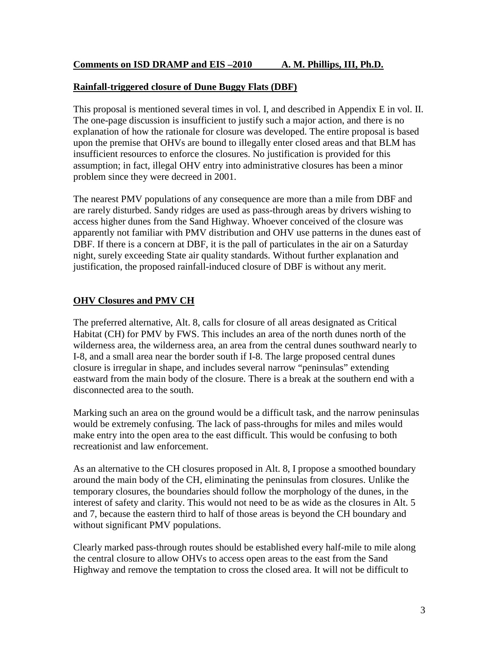#### **Rainfall-triggered closure of Dune Buggy Flats (DBF)**

This proposal is mentioned several times in vol. I, and described in Appendix E in vol. II. The one-page discussion is insufficient to justify such a major action, and there is no explanation of how the rationale for closure was developed. The entire proposal is based upon the premise that OHVs are bound to illegally enter closed areas and that BLM has insufficient resources to enforce the closures. No justification is provided for this assumption; in fact, illegal OHV entry into administrative closures has been a minor problem since they were decreed in 2001.

The nearest PMV populations of any consequence are more than a mile from DBF and are rarely disturbed. Sandy ridges are used as pass-through areas by drivers wishing to access higher dunes from the Sand Highway. Whoever conceived of the closure was apparently not familiar with PMV distribution and OHV use patterns in the dunes east of DBF. If there is a concern at DBF, it is the pall of particulates in the air on a Saturday night, surely exceeding State air quality standards. Without further explanation and justification, the proposed rainfall-induced closure of DBF is without any merit.

#### **OHV Closures and PMV CH**

The preferred alternative, Alt. 8, calls for closure of all areas designated as Critical Habitat (CH) for PMV by FWS. This includes an area of the north dunes north of the wilderness area, the wilderness area, an area from the central dunes southward nearly to I-8, and a small area near the border south if I-8. The large proposed central dunes closure is irregular in shape, and includes several narrow "peninsulas" extending eastward from the main body of the closure. There is a break at the southern end with a disconnected area to the south.

Marking such an area on the ground would be a difficult task, and the narrow peninsulas would be extremely confusing. The lack of pass-throughs for miles and miles would make entry into the open area to the east difficult. This would be confusing to both recreationist and law enforcement.

As an alternative to the CH closures proposed in Alt. 8, I propose a smoothed boundary around the main body of the CH, eliminating the peninsulas from closures. Unlike the temporary closures, the boundaries should follow the morphology of the dunes, in the interest of safety and clarity. This would not need to be as wide as the closures in Alt. 5 and 7, because the eastern third to half of those areas is beyond the CH boundary and without significant PMV populations.

Clearly marked pass-through routes should be established every half-mile to mile along the central closure to allow OHVs to access open areas to the east from the Sand Highway and remove the temptation to cross the closed area. It will not be difficult to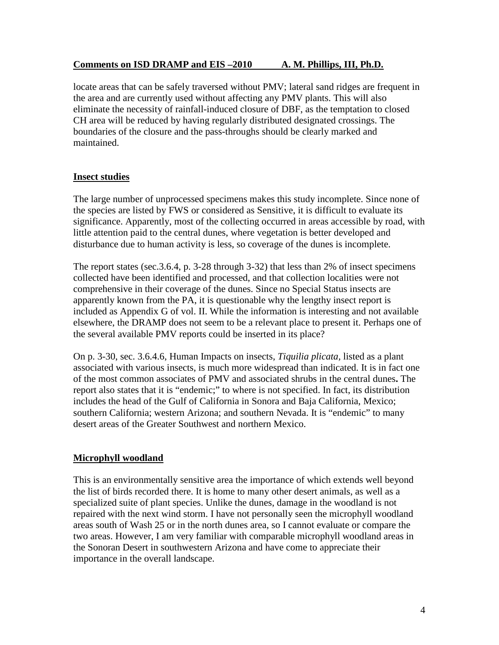locate areas that can be safely traversed without PMV; lateral sand ridges are frequent in the area and are currently used without affecting any PMV plants. This will also eliminate the necessity of rainfall-induced closure of DBF, as the temptation to closed CH area will be reduced by having regularly distributed designated crossings. The boundaries of the closure and the pass-throughs should be clearly marked and maintained.

## **Insect studies**

The large number of unprocessed specimens makes this study incomplete. Since none of the species are listed by FWS or considered as Sensitive, it is difficult to evaluate its significance. Apparently, most of the collecting occurred in areas accessible by road, with little attention paid to the central dunes, where vegetation is better developed and disturbance due to human activity is less, so coverage of the dunes is incomplete.

The report states (sec.3.6.4, p. 3-28 through 3-32) that less than 2% of insect specimens collected have been identified and processed, and that collection localities were not comprehensive in their coverage of the dunes. Since no Special Status insects are apparently known from the PA, it is questionable why the lengthy insect report is included as Appendix G of vol. II. While the information is interesting and not available elsewhere, the DRAMP does not seem to be a relevant place to present it. Perhaps one of the several available PMV reports could be inserted in its place?

On p. 3-30, sec. 3.6.4.6, Human Impacts on insects, *Tiquilia plicata,* listed as a plant associated with various insects, is much more widespread than indicated. It is in fact one of the most common associates of PMV and associated shrubs in the central dunes**.** The report also states that it is "endemic;" to where is not specified. In fact, its distribution includes the head of the Gulf of California in Sonora and Baja California, Mexico; southern California; western Arizona; and southern Nevada. It is "endemic" to many desert areas of the Greater Southwest and northern Mexico.

# **Microphyll woodland**

This is an environmentally sensitive area the importance of which extends well beyond the list of birds recorded there. It is home to many other desert animals, as well as a specialized suite of plant species. Unlike the dunes, damage in the woodland is not repaired with the next wind storm. I have not personally seen the microphyll woodland areas south of Wash 25 or in the north dunes area, so I cannot evaluate or compare the two areas. However, I am very familiar with comparable microphyll woodland areas in the Sonoran Desert in southwestern Arizona and have come to appreciate their importance in the overall landscape.